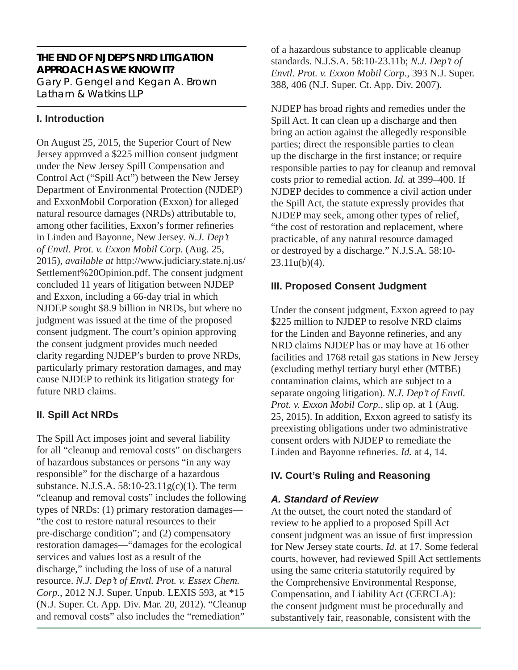## **THE END OF NJDEP'S NRD LITIGATION APPROACH AS WE KNOW IT?**

Gary P. Gengel and Kegan A. Brown *Latham & Watkins LLP*

## **I. Introduction**

On August 25, 2015, the Superior Court of New Jersey approved a \$225 million consent judgment under the New Jersey Spill Compensation and Control Act ("Spill Act") between the New Jersey Department of Environmental Protection (NJDEP) and ExxonMobil Corporation (Exxon) for alleged natural resource damages (NRDs) attributable to, among other facilities, Exxon's former refineries in Linden and Bayonne, New Jersey. *N.J. Dep't of Envtl. Prot. v. Exxon Mobil Corp.* (Aug. 25, 2015), *available at* http://www.judiciary.state.nj.us/ Settlement%20Opinion.pdf. The consent judgment concluded 11 years of litigation between NJDEP and Exxon, including a 66-day trial in which NJDEP sought \$8.9 billion in NRDs, but where no judgment was issued at the time of the proposed consent judgment. The court's opinion approving the consent judgment provides much needed clarity regarding NJDEP's burden to prove NRDs, particularly primary restoration damages, and may cause NJDEP to rethink its litigation strategy for future NRD claims.

# **II. Spill Act NRDs**

The Spill Act imposes joint and several liability for all "cleanup and removal costs" on dischargers of hazardous substances or persons "in any way responsible" for the discharge of a hazardous substance. N.J.S.A.  $58:10-23.11g(c)(1)$ . The term "cleanup and removal costs" includes the following types of NRDs: (1) primary restoration damages— "the cost to restore natural resources to their pre-discharge condition"; and (2) compensatory restoration damages—"damages for the ecological services and values lost as a result of the discharge," including the loss of use of a natural resource. *N.J. Dep't of Envtl. Prot. v. Essex Chem. Corp.*, 2012 N.J. Super. Unpub. LEXIS 593, at \*15 (N.J. Super. Ct. App. Div. Mar. 20, 2012). "Cleanup and removal costs" also includes the "remediation"

of a hazardous substance to applicable cleanup standards. N.J.S.A. 58:10-23.11b; *N.J. Dep't of Envtl. Prot. v. Exxon Mobil Corp.*, 393 N.J. Super. 388, 406 (N.J. Super. Ct. App. Div. 2007).

NJDEP has broad rights and remedies under the Spill Act. It can clean up a discharge and then bring an action against the allegedly responsible parties; direct the responsible parties to clean up the discharge in the first instance; or require responsible parties to pay for cleanup and removal costs prior to remedial action. *Id.* at 399–400. If NJDEP decides to commence a civil action under the Spill Act, the statute expressly provides that NJDEP may seek, among other types of relief, "the cost of restoration and replacement, where practicable, of any natural resource damaged or destroyed by a discharge." N.J.S.A. 58:10-  $23.11u(b)(4)$ .

### **III. Proposed Consent Judgment**

Under the consent judgment, Exxon agreed to pay \$225 million to NJDEP to resolve NRD claims for the Linden and Bayonne refineries, and any NRD claims NJDEP has or may have at 16 other facilities and 1768 retail gas stations in New Jersey (excluding methyl tertiary butyl ether (MTBE) contamination claims, which are subject to a separate ongoing litigation). *N.J. Dep't of Envtl. Prot. v. Exxon Mobil Corp.*, slip op. at 1 (Aug. 25, 2015). In addition, Exxon agreed to satisfy its preexisting obligations under two administrative consent orders with NJDEP to remediate the Linden and Bayonne refineries. *Id.* at 4, 14.

### **IV. Court's Ruling and Reasoning**

## *A. Standard of Review*

At the outset, the court noted the standard of review to be applied to a proposed Spill Act consent judgment was an issue of first impression for New Jersey state courts. *Id.* at 17. Some federal courts, however, had reviewed Spill Act settlements using the same criteria statutorily required by the Comprehensive Environmental Response, Compensation, and Liability Act (CERCLA): the consent judgment must be procedurally and substantively fair, reasonable, consistent with the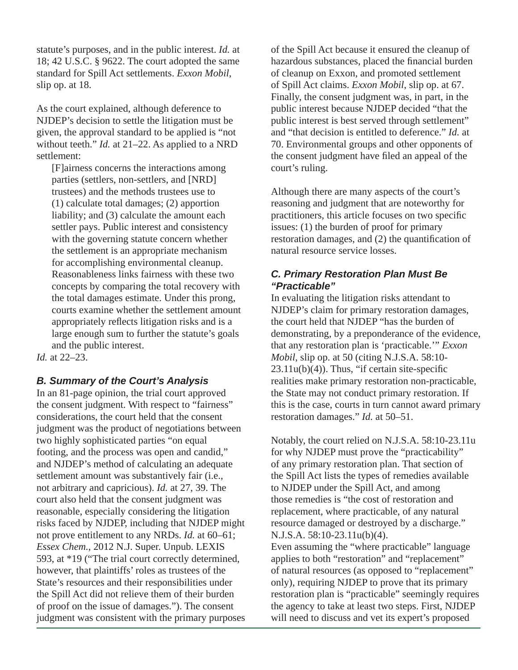statute's purposes, and in the public interest. *Id.* at 18; 42 U.S.C. § 9622. The court adopted the same standard for Spill Act settlements. *Exxon Mobil*, slip op. at 18.

As the court explained, although deference to NJDEP's decision to settle the litigation must be given, the approval standard to be applied is "not without teeth." *Id.* at 21–22. As applied to a NRD settlement:

[F]airness concerns the interactions among parties (settlers, non-settlers, and [NRD] trustees) and the methods trustees use to (1) calculate total damages; (2) apportion liability; and (3) calculate the amount each settler pays. Public interest and consistency with the governing statute concern whether the settlement is an appropriate mechanism for accomplishing environmental cleanup. Reasonableness links fairness with these two concepts by comparing the total recovery with the total damages estimate. Under this prong, courts examine whether the settlement amount appropriately reflects litigation risks and is a large enough sum to further the statute's goals and the public interest.

*Id.* at 22–23.

### *B. Summary of the Court's Analysis*

In an 81-page opinion, the trial court approved the consent judgment. With respect to "fairness" considerations, the court held that the consent judgment was the product of negotiations between two highly sophisticated parties "on equal footing, and the process was open and candid," and NJDEP's method of calculating an adequate settlement amount was substantively fair (i.e., not arbitrary and capricious). *Id.* at 27, 39. The court also held that the consent judgment was reasonable, especially considering the litigation risks faced by NJDEP, including that NJDEP might not prove entitlement to any NRDs. *Id.* at 60–61; *Essex Chem.*, 2012 N.J. Super. Unpub. LEXIS 593, at \*19 ("The trial court correctly determined, however, that plaintiffs' roles as trustees of the State's resources and their responsibilities under the Spill Act did not relieve them of their burden of proof on the issue of damages."). The consent judgment was consistent with the primary purposes of the Spill Act because it ensured the cleanup of hazardous substances, placed the financial burden of cleanup on Exxon, and promoted settlement of Spill Act claims. *Exxon Mobil*, slip op. at 67. Finally, the consent judgment was, in part, in the public interest because NJDEP decided "that the public interest is best served through settlement" and "that decision is entitled to deference." *Id.* at 70. Environmental groups and other opponents of the consent judgment have filed an appeal of the court's ruling.

Although there are many aspects of the court's reasoning and judgment that are noteworthy for practitioners, this article focuses on two specific issues: (1) the burden of proof for primary restoration damages, and (2) the quantification of natural resource service losses.

#### *C. Primary Restoration Plan Must Be "Practicable"*

In evaluating the litigation risks attendant to NJDEP's claim for primary restoration damages, the court held that NJDEP "has the burden of demonstrating, by a preponderance of the evidence, that any restoration plan is 'practicable.'" *Exxon Mobil*, slip op. at 50 (citing N.J.S.A. 58:10-  $23.11u(b)(4)$ ). Thus, "if certain site-specific realities make primary restoration non-practicable, the State may not conduct primary restoration. If this is the case, courts in turn cannot award primary restoration damages." *Id.* at 50–51.

Notably, the court relied on N.J.S.A. 58:10-23.11u for why NJDEP must prove the "practicability" of any primary restoration plan. That section of the Spill Act lists the types of remedies available to NJDEP under the Spill Act, and among those remedies is "the cost of restoration and replacement, where practicable, of any natural resource damaged or destroyed by a discharge." N.J.S.A. 58:10-23.11u(b)(4).

Even assuming the "where practicable" language applies to both "restoration" and "replacement" of natural resources (as opposed to "replacement" only), requiring NJDEP to prove that its primary restoration plan is "practicable" seemingly requires the agency to take at least two steps. First, NJDEP will need to discuss and vet its expert's proposed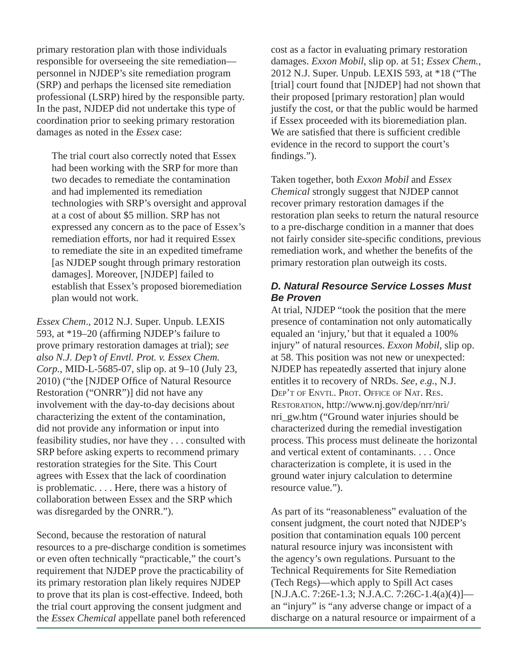primary restoration plan with those individuals responsible for overseeing the site remediation personnel in NJDEP's site remediation program (SRP) and perhaps the licensed site remediation professional (LSRP) hired by the responsible party. In the past, NJDEP did not undertake this type of coordination prior to seeking primary restoration damages as noted in the *Essex* case:

The trial court also correctly noted that Essex had been working with the SRP for more than two decades to remediate the contamination and had implemented its remediation technologies with SRP's oversight and approval at a cost of about \$5 million. SRP has not expressed any concern as to the pace of Essex's remediation efforts, nor had it required Essex to remediate the site in an expedited timeframe [as NJDEP sought through primary restoration damages]. Moreover, [NJDEP] failed to establish that Essex's proposed bioremediation plan would not work.

*Essex Chem*., 2012 N.J. Super. Unpub. LEXIS 593, at  $*19-20$  (affirming NJDEP's failure to prove primary restoration damages at trial); *see also N.J. Dep't of Envtl. Prot. v. Essex Chem. Corp.*, MID-L-5685-07, slip op. at 9–10 (July 23, 2010) ("the [NJDEP Office of Natural Resource Restoration ("ONRR")] did not have any involvement with the day-to-day decisions about characterizing the extent of the contamination, did not provide any information or input into feasibility studies, nor have they . . . consulted with SRP before asking experts to recommend primary restoration strategies for the Site. This Court agrees with Essex that the lack of coordination is problematic. . . . Here, there was a history of collaboration between Essex and the SRP which was disregarded by the ONRR.").

Second, because the restoration of natural resources to a pre-discharge condition is sometimes or even often technically "practicable," the court's requirement that NJDEP prove the practicability of its primary restoration plan likely requires NJDEP to prove that its plan is cost-effective. Indeed, both the trial court approving the consent judgment and the *Essex Chemical* appellate panel both referenced

cost as a factor in evaluating primary restoration damages. *Exxon Mobil*, slip op. at 51; *Essex Chem.*, 2012 N.J. Super. Unpub. LEXIS 593, at \*18 ("The [trial] court found that [NJDEP] had not shown that their proposed [primary restoration] plan would justify the cost, or that the public would be harmed if Essex proceeded with its bioremediation plan. We are satisfied that there is sufficient credible evidence in the record to support the court's findings.").

Taken together, both *Exxon Mobil* and *Essex Chemical* strongly suggest that NJDEP cannot recover primary restoration damages if the restoration plan seeks to return the natural resource to a pre-discharge condition in a manner that does not fairly consider site-specific conditions, previous remediation work, and whether the benefits of the primary restoration plan outweigh its costs.

#### *D. Natural Resource Service Losses Must Be Proven*

At trial, NJDEP "took the position that the mere presence of contamination not only automatically equaled an 'injury,' but that it equaled a 100% injury" of natural resources. *Exxon Mobil*, slip op. at 58. This position was not new or unexpected: NJDEP has repeatedly asserted that injury alone entitles it to recovery of NRDs. *See, e.g.*, N.J. DEP'T OF ENVTL. PROT. OFFICE OF NAT. RES. RESTORATION, http://www.nj.gov/dep/nrr/nri/ nri\_gw.htm ("Ground water injuries should be characterized during the remedial investigation process. This process must delineate the horizontal and vertical extent of contaminants. . . . Once characterization is complete, it is used in the ground water injury calculation to determine resource value.").

As part of its "reasonableness" evaluation of the consent judgment, the court noted that NJDEP's position that contamination equals 100 percent natural resource injury was inconsistent with the agency's own regulations. Pursuant to the Technical Requirements for Site Remediation (Tech Regs)—which apply to Spill Act cases [N.J.A.C. 7:26E-1.3; N.J.A.C. 7:26C-1.4(a)(4)] an "injury" is "any adverse change or impact of a discharge on a natural resource or impairment of a